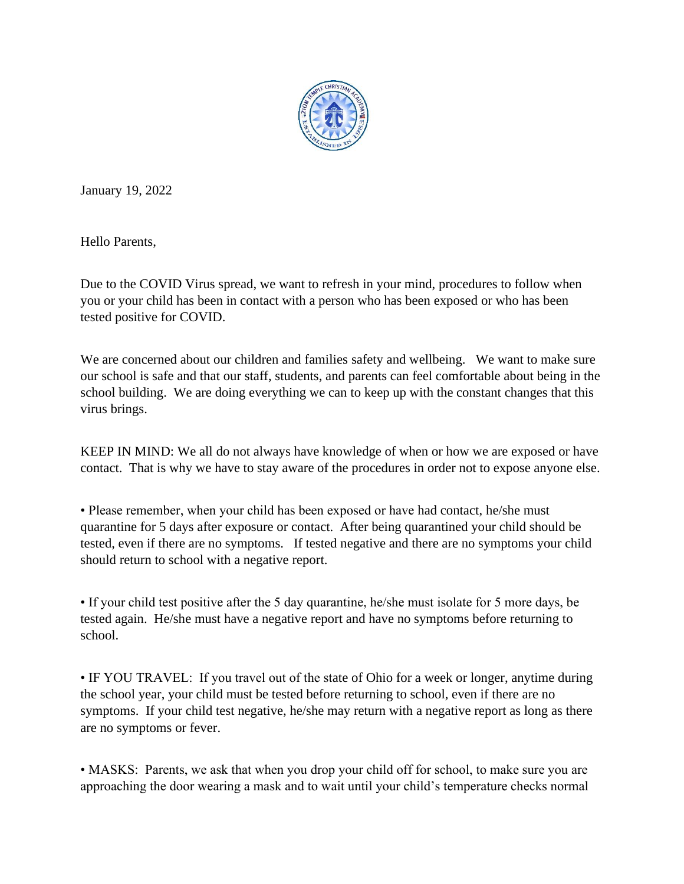

January 19, 2022

Hello Parents,

Due to the COVID Virus spread, we want to refresh in your mind, procedures to follow when you or your child has been in contact with a person who has been exposed or who has been tested positive for COVID.

We are concerned about our children and families safety and wellbeing. We want to make sure our school is safe and that our staff, students, and parents can feel comfortable about being in the school building. We are doing everything we can to keep up with the constant changes that this virus brings.

KEEP IN MIND: We all do not always have knowledge of when or how we are exposed or have contact. That is why we have to stay aware of the procedures in order not to expose anyone else.

• Please remember, when your child has been exposed or have had contact, he/she must quarantine for 5 days after exposure or contact. After being quarantined your child should be tested, even if there are no symptoms. If tested negative and there are no symptoms your child should return to school with a negative report.

• If your child test positive after the 5 day quarantine, he/she must isolate for 5 more days, be tested again. He/she must have a negative report and have no symptoms before returning to school.

• IF YOU TRAVEL: If you travel out of the state of Ohio for a week or longer, anytime during the school year, your child must be tested before returning to school, even if there are no symptoms. If your child test negative, he/she may return with a negative report as long as there are no symptoms or fever.

• MASKS: Parents, we ask that when you drop your child off for school, to make sure you are approaching the door wearing a mask and to wait until your child's temperature checks normal